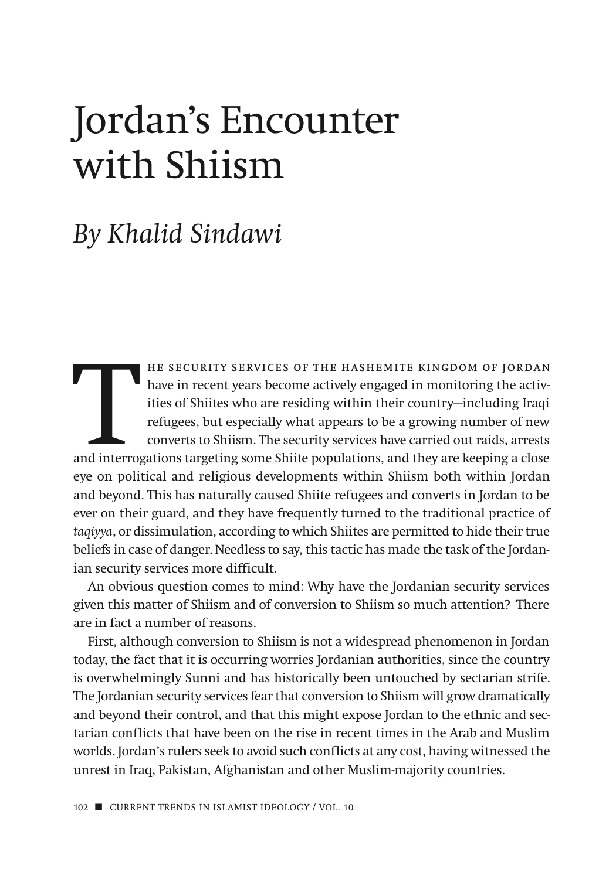## Jordan's Encounter with Shiism

## *By Khalid Sindawi*

THE SECURITY SERVICES OF THE HASHEMITE KINGDOM OF JORDAN<br>
have in recent years become actively engaged in monitoring the activ-<br>
ities of Shiites who are residing within their country—including Iraqi<br>
refugees, but especia have in recent years become actively engaged in monitoring the activities of Shiites who are residing within their country—including Iraqi refugees, but especially what appears to be a growing number of new converts to Shiism. The security services have carried out raids, arrests eye on political and religious developments within Shiism both within Jordan and beyond. This has naturally caused Shiite refugees and converts in Jordan to be ever on their guard, and they have frequently turned to the traditional practice of *taqiyya*, or dissimulation, according to which Shiites are permitted to hide their true beliefs in case of danger. Needless to say, this tactic has made the task of the Jordanian security services more difficult.

An obvious question comes to mind: Why have the Jordanian security services given this matter of Shiism and of conversion to Shiism so much attention? There are in fact a number of reasons.

First, although conversion to Shiism is not a widespread phenomenon in Jordan today, the fact that it is occurring worries Jordanian authorities, since the country is overwhelmingly Sunni and has historically been untouched by sectarian strife. The Jordanian security services fear that conversion to Shiism will grow dramatically and beyond their control, and that this might expose Jordan to the ethnic and sectarian conflicts that have been on the rise in recent times in the Arab and Muslim worlds. Jordan's rulers seek to avoid such conflicts at any cost, having witnessed the unrest in Iraq, Pakistan, Afghanistan and other Muslim-majority countries.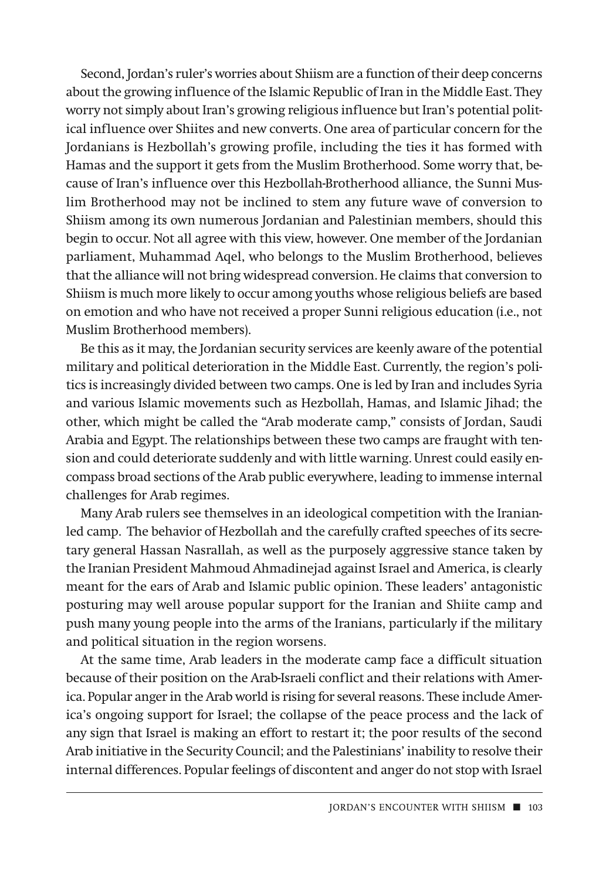Second, Jordan's ruler's worries about Shiism are a function of their deep concerns about the growing influence of the Islamic Republic of Iran in the Middle East. They worry not simply about Iran's growing religious influence but Iran's potential political influence over Shiites and new converts. One area of particular concern for the Jordanians is Hezbollah's growing profile, including the ties it has formed with Hamas and the support it gets from the Muslim Brotherhood. Some worry that, because of Iran's influence over this Hezbollah-Brotherhood alliance, the Sunni Muslim Brotherhood may not be inclined to stem any future wave of conversion to Shiism among its own numerous Jordanian and Palestinian members, should this begin to occur. Not all agree with this view, however. One member of the Jordanian parliament, Muhammad Aqel, who belongs to the Muslim Brotherhood, believes that the alliance will not bring widespread conversion. He claims that conversion to Shiism is much more likely to occur among youths whose religious beliefs are based on emotion and who have not received a proper Sunni religious education (i.e., not Muslim Brotherhood members).

Be this as it may, the Jordanian security services are keenly aware of the potential military and political deterioration in the Middle East. Currently, the region's politics is increasingly divided between two camps. One is led by Iran and includes Syria and various Islamic movements such as Hezbollah, Hamas, and Islamic Jihad; the other, which might be called the "Arab moderate camp," consists of Jordan, Saudi Arabia and Egypt. The relationships between these two camps are fraught with tension and could deteriorate suddenly and with little warning. Unrest could easily encompass broad sections of the Arab public everywhere, leading to immense internal challenges for Arab regimes.

Many Arab rulers see themselves in an ideological competition with the Iranianled camp. The behavior of Hezbollah and the carefully crafted speeches of its secretary general Hassan Nasrallah, as well as the purposely aggressive stance taken by the Iranian President Mahmoud Ahmadinejad against Israel and America, is clearly meant for the ears of Arab and Islamic public opinion. These leaders' antagonistic posturing may well arouse popular support for the Iranian and Shiite camp and push many young people into the arms of the Iranians, particularly if the military and political situation in the region worsens.

At the same time, Arab leaders in the moderate camp face a difficult situation because of their position on the Arab-Israeli conflict and their relations with America. Popular anger in the Arab world is rising for several reasons. These include America's ongoing support for Israel; the collapse of the peace process and the lack of any sign that Israel is making an effort to restart it; the poor results of the second Arab initiative in the Security Council; and the Palestinians' inability to resolve their internal differences. Popular feelings of discontent and anger do not stop with Israel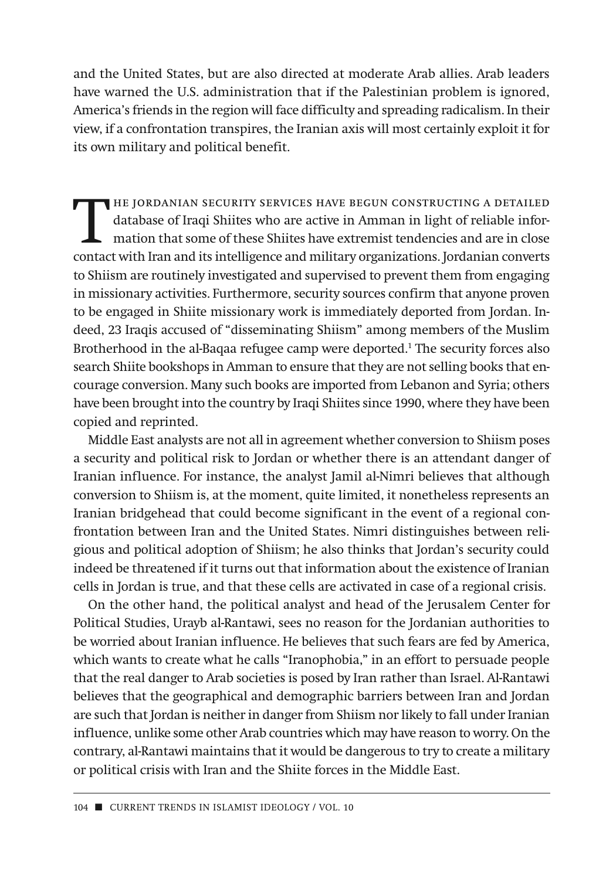and the United States, but are also directed at moderate Arab allies. Arab leaders have warned the U.S. administration that if the Palestinian problem is ignored, America's friends in the region will face difficulty and spreading radicalism. In their view, if a confrontation trans pires, the Iranian axis will most certainly exploit it for its own military and political benefit.

THE JORDANIAN SECURITY SERVICES HAVE BEGUN CONSTRUCTING A DETAILED database of Iraqi Shiites who are active in Amman in light of reliable information that some of these Shiites have extremist tendencies and are in close contact with Iran and its intelligence and military organizations. Jordanian converts to Shiism are routinely investigated and supervised to prevent them from engaging in missionary activities. Furthermore, security sources confirm that anyone proven to be engaged in Shiite missionary work is immediately deported from Jordan. Indeed, 23 Iraqis accused of "disseminating Shiism" among members of the Muslim Brotherhood in the al-Baqaa refugee camp were deported.1 The security forces also search Shiite bookshops in Amman to ensure that they are not selling books that encourage conversion. Many such books are imported from Lebanon and Syria; others have been brought into the country by Iraqi Shiites since 1990, where they have been copied and reprinted.

Middle East analysts are not all in agreement whether conversion to Shiism poses a security and political risk to Jordan or whether there is an attendant danger of Iranian influence. For instance, the analyst Jamil al-Nimri believes that although conversion to Shiism is, at the moment, quite limited, it nonetheless represents an Iranian bridgehead that could become significant in the event of a regional confrontation between Iran and the United States. Nimri distinguishes between religious and political adoption of Shiism; he also thinks that Jordan's security could indeed be threatened if it turns out that information about the existence of Iranian cells in Jordan is true, and that these cells are activated in case of a regional crisis.

On the other hand, the political analyst and head of the Jerusalem Center for Political Studies, Urayb al-Rantawi, sees no reason for the Jordanian authorities to be worried about Iranian influence. He believes that such fears are fed by America, which wants to create what he calls "Iranophobia," in an effort to persuade people that the real danger to Arab societies is posed by Iran rather than Israel. Al-Rantawi believes that the geographical and demographic barriers between Iran and Jordan are such that Jordan is neither in danger from Shiism nor likely to fall under Iranian influence, unlike some other Arab countries which may have reason to worry. On the contrary, al-Rantawi maintains that it would be dangerous to try to create a military or political crisis with Iran and the Shiite forces in the Middle East.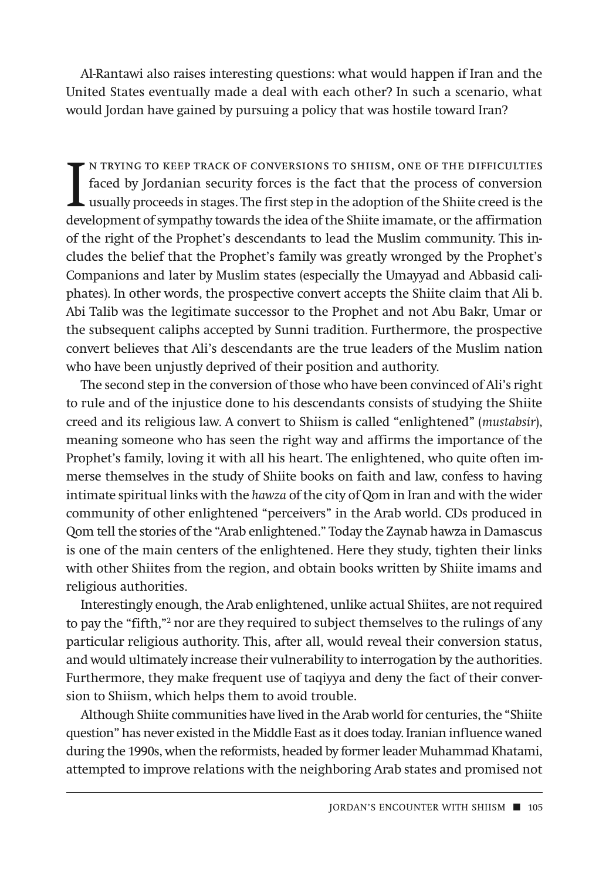Al-Rantawi also raises interesting questions: what would happen if Iran and the United States eventually made a deal with each other? In such a scenario, what would Jordan have gained by pursuing a policy that was hostile toward Iran?

IN TRYING TO KEEP TRACK OF CONVERSIONS TO SHIISM, ONE OF THE DIFFICULTIES<br>faced by Jordanian security forces is the fact that the process of conversion<br>usually proceeds in stages. The first step in the adoption of the Shii n trying to keep track of conversions to shiism, one of the difficulties faced by Jordanian security forces is the fact that the process of conversion  $\mathsf L$  usually proceeds in stages. The first step in the adoption of the Shiite creed is the of the right of the Prophet's descendants to lead the Muslim community. This includes the belief that the Prophet's family was greatly wronged by the Prophet's Companions and later by Muslim states (especially the Umayyad and Abbasid cali phates). In other words, the prospective convert accepts the Shiite claim that Ali b. Abi Talib was the legitimate successor to the Prophet and not Abu Bakr, Umar or the subsequent caliphs accepted by Sunni tradition. Furthermore, the prospective convert believes that Ali's descendants are the true leaders of the Muslim nation who have been unjustly deprived of their position and authority.

The second step in the conversion of those who have been convinced of Ali's right to rule and of the injustice done to his descendants consists of studying the Shiite creed and its religious law. A convert to Shiism is called "enlightened" (*mustabsir*), meaning someone who has seen the right way and affirms the importance of the Prophet's family, loving it with all his heart. The enlightened, who quite often immerse themselves in the study of Shiite books on faith and law, confess to having intimate spiritual links with the *hawza* of the city of Qom in Iran and with the wider community of other enlightened "perceivers" in the Arab world. CDs produced in Qom tell the stories of the "Arab enlightened." Today the Zaynab hawza in Damascus is one of the main centers of the enlightened. Here they study, tighten their links with other Shiites from the region, and obtain books written by Shiite imams and religious authorities.

Interestingly enough, the Arab enlightened, unlike actual Shiites, are not required to pay the "fifth,"2 nor are they required to subject themselves to the rulings of any particular religious authority. This, after all, would reveal their conversion status, and would ultimately increase their vulnerability to interrogation by the authorities. Furthermore, they make frequent use of taqiyya and deny the fact of their conversion to Shiism, which helps them to avoid trouble.

Although Shiite communities have lived in the Arab world for centuries, the "Shiite question" has never existed in the Middle East as it does today. Iranian influence waned during the 1990s, when the reformists, headed by former leader Muhammad Khatami, attempted to improve relations with the neighboring Arab states and promised not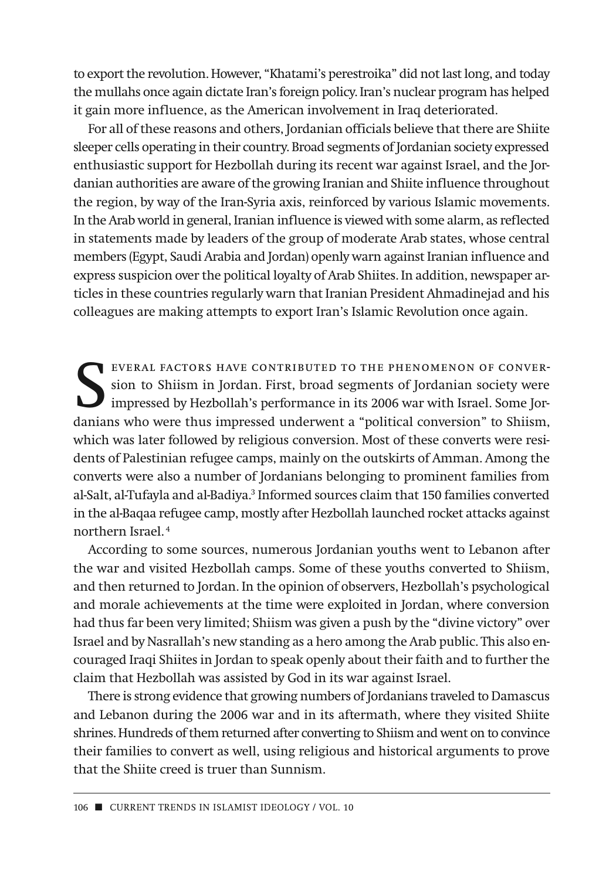to export the revolution. However, "Khatami's perestroika" did not last long, and today the mullahs once again dictate Iran's foreign policy. Iran's nuclear program has helped it gain more influence, as the American involvement in Iraq deteriorated.

For all of these reasons and others, Jordanian officials believe that there are Shiite sleeper cells operating in their country. Broad segments of Jordanian society expressed enthusiastic support for Hezbollah during its recent war against Israel, and the Jordanian authorities are aware of the growing Iranian and Shiite influence throughout the region, by way of the Iran-Syria axis, reinforced by various Islamic movements. In the Arab world in general, Iranian influence is viewed with some alarm, as reflected in statements made by leaders of the group of moderate Arab states, whose central members (Egypt, Saudi Arabia and Jordan) openly warn against Iranian influence and express suspicion over the political loyalty of Arab Shiites. In addition, newspaper articles in these countries regularly warn that Iranian President Ahmadinejad and his colleagues are making attempts to export Iran's Islamic Revolution once again.

EVERAL FACTORS HAVE CONTRIBUTED TO THE PHENOMENON OF CONVER-<br>sion to Shiism in Jordan. First, broad segments of Jordanian society were<br>impressed by Hezbollah's performance in its 2006 war with Israel. Some Jordanians who w sion to Shiism in Jordan. First, broad segments of Jordanian society were impressed by Hezbollah's performance in its 2006 war with Israel. Some Jordanians who were thus impressed underwent a "political conversion" to Shiism, which was later followed by religious conversion. Most of these converts were residents of Palestinian refugee camps, mainly on the outskirts of Amman. Among the converts were also a number of Jordanians belonging to prominent families from al-Salt, al-Tufayla and al-Badiya.3 Informed sources claim that 150 families converted in the al-Baqaa refugee camp, mostly after Hezbollah launched rocket attacks against northern Israel. <sup>4</sup>

According to some sources, numerous Jordanian youths went to Lebanon after the war and visited Hezbollah camps. Some of these youths converted to Shiism, and then returned to Jordan. In the opinion of observers, Hezbollah's psychological and morale achievements at the time were exploited in Jordan, where conversion had thus far been very limited; Shiism was given a push by the "divine victory" over Israel and by Nasrallah's new standing as a hero among the Arab public. This also encouraged Iraqi Shiites in Jordan to speak openly about their faith and to further the claim that Hezbollah was assisted by God in its war against Israel.

There is strong evidence that growing numbers of Jordanians traveled to Damascus and Lebanon during the 2006 war and in its aftermath, where they visited Shiite shrines. Hundreds of them returned after converting to Shiism and went on to convince their families to convert as well, using religious and historical arguments to prove that the Shiite creed is truer than Sunnism.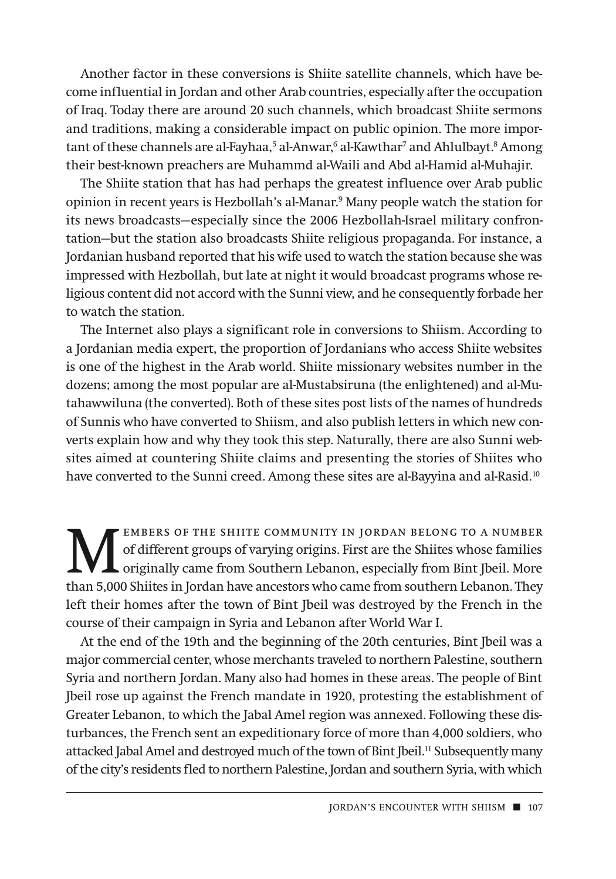Another factor in these conversions is Shiite satellite channels, which have become influential in Jordan and other Arab countries, especially after the occupation of Iraq. Today there are around 20 such channels, which broadcast Shiite sermons and traditions, making a considerable impact on public opinion. The more important of these channels are al-Fayhaa,<sup>5</sup> al-Anwar,<sup>6</sup> al-Kawthar<sup>7</sup> and Ahlulbayt.<sup>8</sup> Among their best-known preachers are Muhammd al-Waili and Abd al-Hamid al-Muhajir.

The Shiite station that has had perhaps the greatest influence over Arab public opinion in recent years is Hezbollah's al-Manar.9 Many people watch the station for its news broadcasts—especially since the 2006 Hezbollah-Israel military confrontation—but the station also broadcasts Shiite religious propaganda. For instance, a Jordanian husband reported that his wife used to watch the station because she was impressed with Hezbollah, but late at night it would broadcast programs whose religious content did not accord with the Sunni view, and he consequently forbade her to watch the station.

The Internet also plays a significant role in conversions to Shiism. According to a Jordanian media expert, the proportion of Jordanians who access Shiite websites is one of the highest in the Arab world. Shiite missionary websites number in the dozens; among the most popular are al-Mustabsiruna (the enlightened) and al-Mutahawwiluna (the converted). Both of these sites post lists of the names of hundreds of Sunnis who have converted to Shiism, and also publish letters in which new converts explain how and why they took this step. Naturally, there are also Sunni websites aimed at countering Shiite claims and presenting the stories of Shiites who have converted to the Sunni creed. Among these sites are al-Bayyina and al-Rasid.<sup>10</sup>

EMBERS OF THE SHIITE COMMUNITY IN JORDAN BELONG TO A NUMBER<br>of different groups of varying origins. First are the Shiites whose families<br>originally came from Southern Lebanon, especially from Bint Jbeil. More<br>than 5,000 Sh of different groups of varying origins. First are the Shiites whose families originally came from Southern Lebanon, especially from Bint Jbeil. More than 5,000 Shiites in Jordan have ancestors who came from southern Lebanon. They left their homes after the town of Bint Jbeil was destroyed by the French in the course of their campaign in Syria and Lebanon after World War I.

At the end of the 19th and the beginning of the 20th centuries, Bint Jbeil was a major commercial center, whose merchants traveled to northern Palestine, southern Syria and northern Jordan. Many also had homes in these areas. The people of Bint Jbeil rose up against the French mandate in 1920, protesting the establishment of Greater Lebanon, to which the Jabal Amel region was annexed. Following these disturbances, the French sent an expeditionary force of more than 4,000 soldiers, who attacked Jabal Amel and destroyed much of the town of Bint Jbeil.<sup>11</sup> Subsequently many of the city's residents fled to northern Palestine, Jordan and southern Syria, with which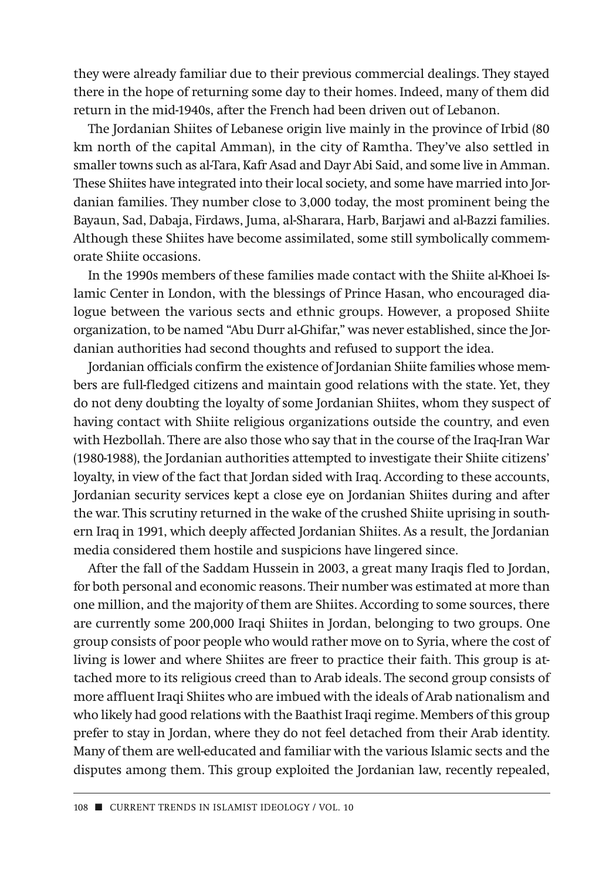they were already familiar due to their previous commercial dealings. They stayed there in the hope of returning some day to their homes. Indeed, many of them did return in the mid-1940s, after the French had been driven out of Lebanon.

The Jordanian Shiites of Lebanese origin live mainly in the province of Irbid (80 km north of the capital Amman), in the city of Ramtha. They've also settled in smaller towns such as al-Tara, Kafr Asad and Dayr Abi Said, and some live in Amman. These Shiites have integrated into their local society, and some have married into Jordanian families. They number close to 3,000 today, the most prominent being the Bayaun, Sad, Dabaja, Firdaws, Juma, al-Sharara, Harb, Barjawi and al-Bazzi families. Although these Shiites have become assimilated, some still symbolically commemorate Shiite occasions.

In the 1990s members of these families made contact with the Shiite al-Khoei Islamic Center in London, with the blessings of Prince Hasan, who encouraged dialogue between the various sects and ethnic groups. However, a proposed Shiite organization, to be named "Abu Durr al-Ghifar," was never established, since the Jordanian authorities had second thoughts and refused to support the idea.

Jordanian officials confirm the existence of Jordanian Shiite families whose members are full-fledged citizens and maintain good relations with the state. Yet, they do not deny doubting the loyalty of some Jordanian Shiites, whom they suspect of having contact with Shiite religious organizations outside the country, and even with Hezbollah. There are also those who say that in the course of the Iraq-Iran War (1980-1988), the Jordanian authorities attempted to investigate their Shiite citizens' loyalty, in view of the fact that Jordan sided with Iraq. According to these accounts, Jordanian security services kept a close eye on Jordanian Shiites during and after the war. This scrutiny returned in the wake of the crushed Shiite uprising in southern Iraq in 1991, which deeply affected Jordanian Shiites. As a result, the Jordanian media considered them hostile and suspicions have lingered since.

After the fall of the Saddam Hussein in 2003, a great many Iraqis fled to Jordan, for both personal and economic reasons. Their number was estimated at more than one million, and the majority of them are Shiites. According to some sources, there are currently some 200,000 Iraqi Shiites in Jordan, belonging to two groups. One group consists of poor people who would rather move on to Syria, where the cost of living is lower and where Shiites are freer to practice their faith. This group is attached more to its religious creed than to Arab ideals. The second group consists of more affluent Iraqi Shiites who are imbued with the ideals of Arab nationalism and who likely had good relations with the Baathist Iraqi regime. Members of this group prefer to stay in Jordan, where they do not feel detached from their Arab identity. Many of them are well-educated and familiar with the various Islamic sects and the disputes among them. This group exploited the Jordanian law, recently repealed,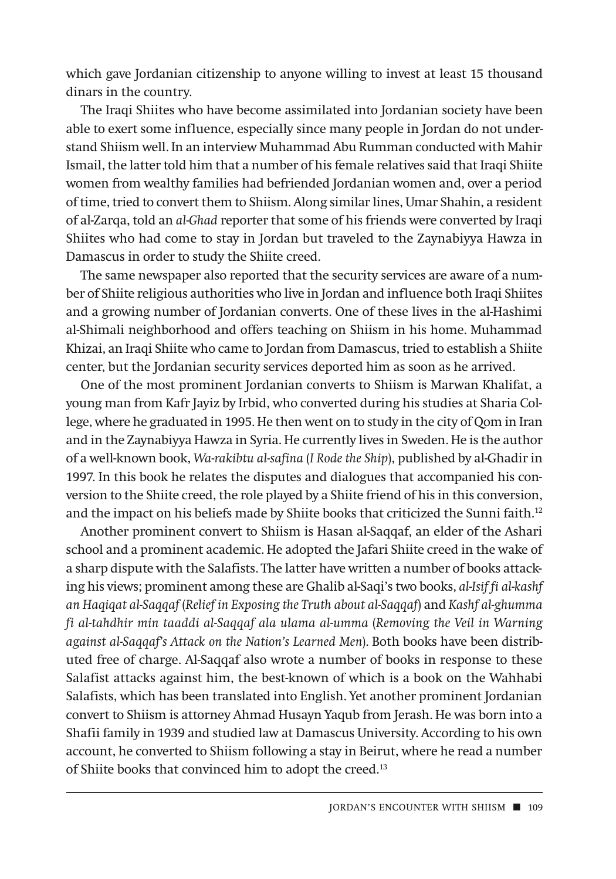which gave Jordanian citizenship to anyone willing to invest at least 15 thousand dinars in the country.

The Iraqi Shiites who have become assimilated into Jordanian society have been able to exert some influence, especially since many people in Jordan do not understand Shiism well. In an interview Muhammad Abu Rumman conducted with Mahir Ismail, the latter told him that a number of his female relatives said that Iraqi Shiite women from wealthy families had befriended Jordanian women and, over a period of time, tried to convert them to Shiism. Along similar lines, Umar Shahin, a resident of al-Zarqa, told an *al-Ghad* reporter that some of his friends were converted by Iraqi Shiites who had come to stay in Jordan but traveled to the Zaynabiyya Hawza in Damascus in order to study the Shiite creed.

The same newspaper also reported that the security services are aware of a number of Shiite religious authorities who live in Jordan and influence both Iraqi Shiites and a growing number of Jordanian converts. One of these lives in the al-Hashimi al-Shimali neighborhood and offers teaching on Shiism in his home. Muhammad Khizai, an Iraqi Shiite who came to Jordan from Damascus, tried to establish a Shiite center, but the Jordanian security services deported him as soon as he arrived.

One of the most prominent Jordanian converts to Shiism is Marwan Khalifat, a young man from Kafr Jayiz by Irbid, who converted during his studies at Sharia College, where he graduated in 1995. He then went on to study in the city of Qom in Iran and in the Zaynabiyya Hawza in Syria. He currently lives in Sweden. He is the author of a well-known book, *Wa-rakibtu al-safina* (*I Rode the Ship*), published by al-Ghadir in 1997. In this book he relates the disputes and dialogues that accompanied his conversion to the Shiite creed, the role played by a Shiite friend of his in this conversion, and the impact on his beliefs made by Shiite books that criticized the Sunni faith.<sup>12</sup>

Another prominent convert to Shiism is Hasan al-Saqqaf, an elder of the Ashari school and a prominent academic. He adopted the Jafari Shiite creed in the wake of a sharp dispute with the Salafists. The latter have written a number of books attacking his views; prominent among these are Ghalib al-Saqi's two books, *al-Isif fi al-kashf an Haqiqat al-Saqqaf* (*Relief in Exposing the Truth about al-Saqqaf*) and *Kashf al-ghumma fi al-tahdhir min taaddi al-Saqqaf ala ulama al-umma* (*Removing the Veil in Warning against al-Saqqaf's Attack on the Nation's Learned Men*). Both books have been distributed free of charge. Al-Saqqaf also wrote a number of books in response to these Salafist attacks against him, the best-known of which is a book on the Wahhabi Salafists, which has been translated into English. Yet another prominent Jordanian convert to Shiism is attorney Ahmad Husayn Yaqub from Jerash. He was born into a Shafii family in 1939 and studied law at Damascus University. According to his own account, he converted to Shiism following a stay in Beirut, where he read a number of Shiite books that convinced him to adopt the creed.<sup>13</sup>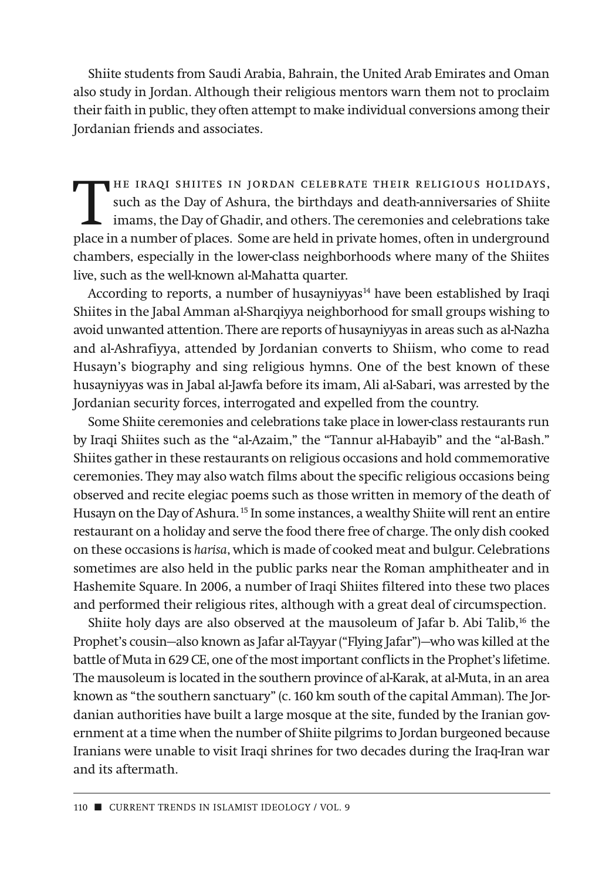Shiite students from Saudi Arabia, Bahrain, the United Arab Emirates and Oman also study in Jordan. Although their religious mentors warn them not to proclaim their faith in public, they often attempt to make individual conversions among their Jordanian friends and associates.

THE IRAQI SHIITES IN JORDAN CELEBRATE THEIR RELIGIOUS HOLIDAYS,<br>such as the Day of Ashura, the birthdays and death-anniversaries of Shiite<br>imams, the Day of Ghadir, and others. The ceremonies and celebrations take<br>place in such as the Day of Ashura, the birthdays and death-anniversaries of Shiite imams, the Day of Ghadir, and others. The ceremonies and celebrations take place in a number of places. Some are held in private homes, often in underground chambers, especially in the lower-class neighborhoods where many of the Shiites live, such as the well-known al-Mahatta quarter.

According to reports, a number of husayniyyas $14$  have been established by Iraqi Shiites in the Jabal Amman al-Sharqiyya neighborhood for small groups wishing to avoid unwanted attention. There are reports of husayniyyas in areas such as al-Nazha and al-Ashrafiyya, attended by Jordanian converts to Shiism, who come to read Husayn's biography and sing religious hymns. One of the best known of these husayniyyas was in Jabal al-Jawfa before its imam, Ali al-Sabari, was arrested by the Jordanian security forces, interrogated and expelled from the country.

Some Shiite ceremonies and celebrations take place in lower-class restaurants run by Iraqi Shiites such as the "al-Azaim," the "Tannur al-Habayib" and the "al-Bash." Shiites gather in these restaurants on religious occasions and hold commemorative ceremonies. They may also watch films about the specific religious occasions being observed and recite elegiac poems such as those written in memory of the death of Husayn on the Day of Ashura. <sup>15</sup> In some instances, a wealthy Shiite will rent an entire restaurant on a holiday and serve the food there free of charge. The only dish cooked on these occasions is *harisa*, which is made of cooked meat and bulgur. Celebrations sometimes are also held in the public parks near the Roman amphitheater and in Hashemite Square. In 2006, a number of Iraqi Shiites filtered into these two places and performed their religious rites, although with a great deal of circumspection.

Shiite holy days are also observed at the mausoleum of Jafar b. Abi Talib,<sup>16</sup> the Prophet's cousin—also known as Jafar al-Tayyar ("Flying Jafar")—who was killed at the battle of Muta in 629 CE, one of the most important conflicts in the Prophet's lifetime. The mausoleum is located in the southern province of al-Karak, at al-Muta, in an area known as "the southern sanctuary" (c. 160 km south of the capital Amman). The Jordanian authorities have built a large mosque at the site, funded by the Iranian government at a time when the number of Shiite pilgrims to Jordan burgeoned because Iranians were unable to visit Iraqi shrines for two decades during the Iraq-Iran war and its aftermath.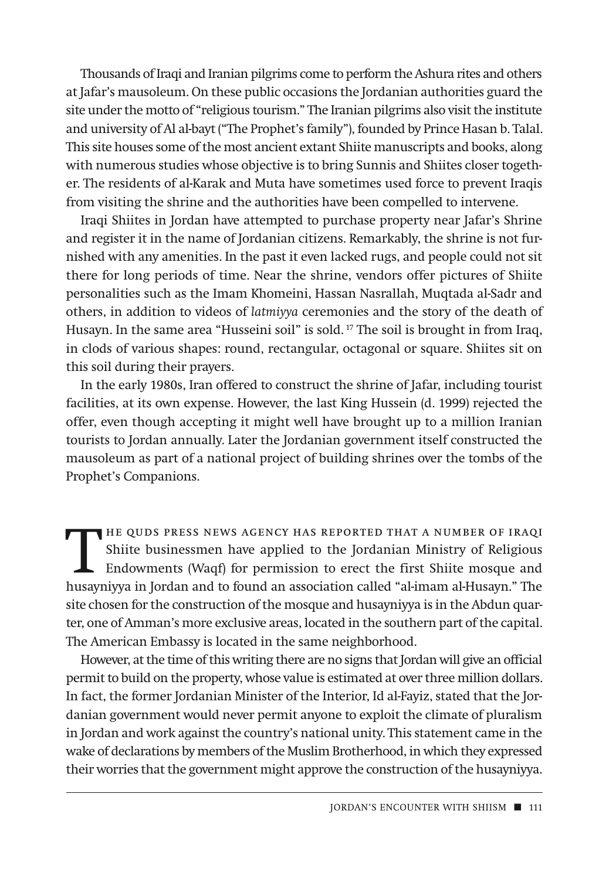Thousands of Iraqi and Iranian pilgrims come to perform the Ashura rites and others at Jafar's mausoleum. On these public occasions the Jordanian authorities guard the site under the motto of "religious tourism." The Iranian pilgrims also visit the institute and university of Al al-bayt ("The Prophet's family"), founded by Prince Hasan b. Talal. This site houses some of the most ancient extant Shiite manuscripts and books, along with numerous studies whose objective is to bring Sunnis and Shiites closer together. The residents of al-Karak and Muta have sometimes used force to prevent Iraqis from visiting the shrine and the authorities have been compelled to intervene.

Iraqi Shiites in Jordan have attempted to purchase property near Jafar's Shrine and register it in the name of Jordanian citizens. Remarkably, the shrine is not furnished with any amenities. In the past it even lacked rugs, and people could not sit there for long periods of time. Near the shrine, vendors offer pictures of Shiite personalities such as the Imam Khomeini, Hassan Nasrallah, Muqtada al-Sadr and others, in addition to videos of *latmiyya* ceremonies and the story of the death of Husayn. In the same area "Husseini soil" is sold. <sup>17</sup> The soil is brought in from Iraq, in clods of various shapes: round, rectangular, octagonal or square. Shiites sit on this soil during their prayers.

In the early 1980s, Iran offered to construct the shrine of Jafar, including tourist facilities, at its own expense. However, the last King Hussein (d. 1999) rejected the offer, even though accepting it might well have brought up to a million Iranian tourists to Jordan annually. Later the Jordanian government itself constructed the mausoleum as part of a national project of building shrines over the tombs of the Prophet's Companions.

THE QUDS PRESS NEWS AGENCY HAS REPORTED THAT A NUMBER OF IRAQI<br>Shiite businessmen have applied to the Jordanian Ministry of Religious<br>Endowments (Waqf) for permission to erect the first Shiite mosque and<br>hugarnizza in Jord Shiite businessmen have applied to the Jordanian Ministry of Religious Endowments (Waqf) for permission to erect the first Shiite mosque and husayniyya in Jordan and to found an association called "al-imam al-Husayn." The site chosen for the construction of the mosque and husayniyya is in the Abdun quarter, one of Amman's more exclusive areas, located in the southern part of the capital. The American Embassy is located in the same neighborhood.

However, at the time of this writing there are no signs that Jordan will give an official permit to build on the property, whose value is estimated at over three million dollars. In fact, the former Jordanian Minister of the Interior, Id al-Fayiz, stated that the Jordanian government would never permit anyone to exploit the climate of pluralism in Jordan and work against the country's national unity. This statement came in the wake of declarations by members of the Muslim Brotherhood, in which they expressed their worries that the government might approve the construction of the husayniyya.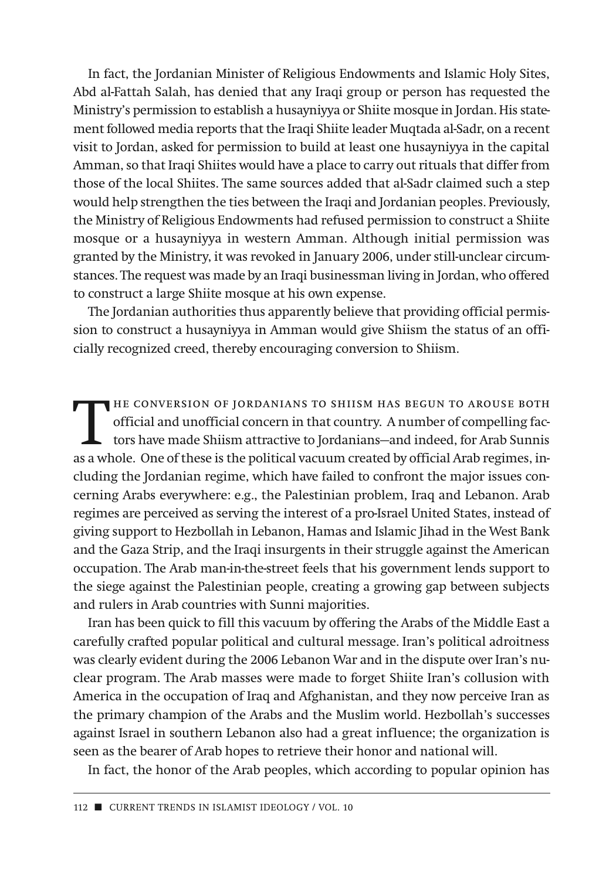In fact, the Jordanian Minister of Religious Endowments and Islamic Holy Sites, Abd al-Fattah Salah, has denied that any Iraqi group or person has requested the Ministry's permission to establish a husayniyya or Shiite mosque in Jordan. His statement followed media reports that the Iraqi Shiite leader Muqtada al-Sadr, on a recent visit to Jordan, asked for permission to build at least one husayniyya in the capital Amman, so that Iraqi Shiites would have a place to carry out rituals that differ from those of the local Shiites. The same sources added that al-Sadr claimed such a step would help strengthen the ties between the Iraqi and Jordanian peoples. Previously, the Ministry of Religious Endowments had refused permission to construct a Shiite mosque or a husayniyya in western Amman. Although initial permission was granted by the Ministry, it was revoked in January 2006, under still-unclear circumstances. The request was made by an Iraqi businessman living in Jordan, who offered to construct a large Shiite mosque at his own expense.

The Jordanian authorities thus apparently believe that providing official permission to construct a husayniyya in Amman would give Shiism the status of an officially recognized creed, thereby encouraging conversion to Shiism.

HE CONVERSION OF JORDANIANS TO SHIISM HAS BEGUN TO AROUSE BOTH<br>official and unofficial concern in that country. A number of compelling fac-<br>tors have made Shiism attractive to Jordanians—and indeed, for Arab Sunnis<br>as a wh official and unofficial concern in that country. A number of compelling factors have made Shiism attractive to Jordanians—and indeed, for Arab Sunnis as a whole. One of these is the political vacuum created by official Arab regimes, including the Jordanian regime, which have failed to confront the major issues concerning Arabs everywhere: e.g., the Palestinian problem, Iraq and Lebanon. Arab regimes are perceived as serving the interest of a pro-Israel United States, instead of giving support to Hezbollah in Lebanon, Hamas and Islamic Jihad in the West Bank and the Gaza Strip, and the Iraqi insurgents in their struggle against the American occupation. The Arab man-in-the-street feels that his government lends support to the siege against the Palestinian people, creating a growing gap between subjects and rulers in Arab countries with Sunni majorities.

Iran has been quick to fill this vacuum by offering the Arabs of the Middle East a carefully crafted popular political and cultural message. Iran's political adroitness was clearly evident during the 2006 Lebanon War and in the dispute over Iran's nuclear program. The Arab masses were made to forget Shiite Iran's collusion with America in the occupation of Iraq and Afghanistan, and they now perceive Iran as the primary champion of the Arabs and the Muslim world. Hezbollah's successes against Israel in southern Lebanon also had a great influence; the organization is seen as the bearer of Arab hopes to retrieve their honor and national will.

In fact, the honor of the Arab peoples, which according to popular opinion has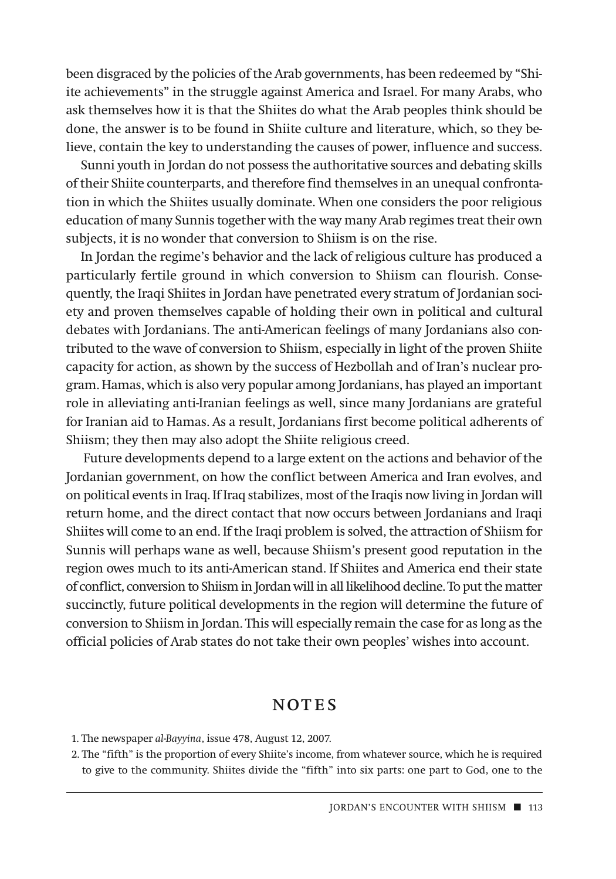been disgraced by the policies of the Arab governments, has been redeemed by "Shiite achievements" in the struggle against America and Israel. For many Arabs, who ask themselves how it is that the Shiites do what the Arab peoples think should be done, the answer is to be found in Shiite culture and literature, which, so they believe, contain the key to understanding the causes of power, influence and success.

Sunni youth in Jordan do not possess the authoritative sources and debating skills of their Shiite counterparts, and therefore find themselves in an unequal confrontation in which the Shiites usually dominate. When one considers the poor religious education of many Sunnis together with the way many Arab regimes treat their own subjects, it is no wonder that conversion to Shiism is on the rise.

In Jordan the regime's behavior and the lack of religious culture has produced a particularly fertile ground in which conversion to Shiism can flourish. Consequently, the Iraqi Shiites in Jordan have penetrated every stratum of Jordanian society and proven themselves capable of holding their own in political and cultural debates with Jordanians. The anti-American feelings of many Jordanians also contributed to the wave of conversion to Shiism, especially in light of the proven Shiite capacity for action, as shown by the success of Hezbollah and of Iran's nuclear program. Hamas, which is also very popular among Jordanians, has played an important role in alleviating anti-Iranian feelings as well, since many Jordanians are grateful for Iranian aid to Hamas. As a result, Jordanians first become political adherents of Shiism; they then may also adopt the Shiite religious creed.

Future developments depend to a large extent on the actions and behavior of the Jordanian government, on how the conflict between America and Iran evolves, and on political events in Iraq. If Iraq stabilizes, most of the Iraqis now living in Jordan will return home, and the direct contact that now occurs between Jordanians and Iraqi Shiites will come to an end. If the Iraqi problem is solved, the attraction of Shiism for Sunnis will perhaps wane as well, because Shiism's present good reputation in the region owes much to its anti-American stand. If Shiites and America end their state of conflict, conversion to Shiism in Jordan will in all likelihood decline. To put the matter succinctly, future political developments in the region will determine the future of conversion to Shiism in Jordan. This will especially remain the case for as long as the official policies of Arab states do not take their own peoples' wishes into account.

## NOTES

1. The newspaper *al-Bayyina*, issue 478, August 12, 2007.

2. The "fifth" is the proportion of every Shiite's income, from whatever source, which he is required to give to the community. Shiites divide the "fifth" into six parts: one part to God, one to the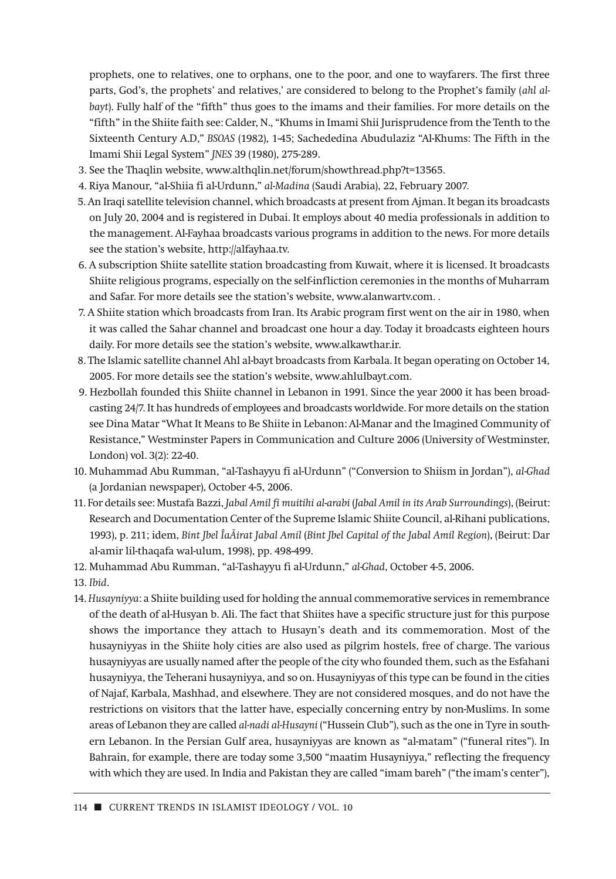prophets, one to relatives, one to orphans, one to the poor, and one to wayfarers. The first three parts, God's, the prophets' and relatives,' are considered to belong to the Prophet's family (*ahl albayt*). Fully half of the "fifth" thus goes to the imams and their families. For more details on the "fifth" in the Shiite faith see: Calder, N., "Khums in Imami Shii Jurisprudence from the Tenth to the Sixteenth Century A.D," *BSOAS* (1982), 1-45; Sachededina Abudulaziz "Al-Khums: The Fifth in the Imami Shii Legal System" *JNES* 39 (1980), 275-289.

- 3. See the Thaqlin website, www.althqlin.net/forum/showthread.php?t=13565.
- 4. Riya Manour, "al-Shiia fi al-Urdunn," *al-Madina* (Saudi Arabia), 22, February 2007.
- 5. An Iraqi satellite television channel, which broadcasts at present from Ajman. It began its broadcasts on July 20, 2004 and is registered in Dubai. It employs about 40 media professionals in addition to the management. Al-Fayhaa broadcasts various programs in addition to the news. For more details see the station's website, http://alfayhaa.tv.
- 6. A subscription Shiite satellite station broadcasting from Kuwait, where it is licensed. It broadcasts Shiite religious programs, especially on the self-infliction ceremonies in the months of Muharram and Safar. For more details see the station's website, www.alanwartv.com. .
- 7. A Shiite station which broadcasts from Iran. Its Arabic program first went on the air in 1980, when it was called the Sahar channel and broadcast one hour a day. Today it broadcasts eighteen hours daily. For more details see the station's website, www.alkawthar.ir.
- 8. The Islamic satellite channel Ahl al-bayt broadcasts from Karbala. It began operating on October 14, 2005. For more details see the station's website, www.ahlulbayt.com.
- 9. Hezbollah founded this Shiite channel in Lebanon in 1991. Since the year 2000 it has been broadcasting 24/7. It has hundreds of employees and broadcasts worldwide. For more details on the station see Dina Matar "What It Means to Be Shiite in Lebanon: Al-Manar and the Imagined Community of Resistance," Westminster Papers in Communication and Culture 2006 (University of Westminster, London) vol. 3(2): 22-40.
- 10. Muhammad Abu Rumman, "al-Tashayyu fi al-Urdunn" ("Conversion to Shiism in Jordan"), *al-Ghad* (a Jordanian newspaper), October 4-5, 2006.
- 11. For details see: Mustafa Bazzi, *Jabal Amil fi muitihi al-arabi* (*Jabal Amil in its Arab Surroundings*), (Beirut: Research and Documentation Center of the Supreme Islamic Shiite Council, al-Rihani publications, 1993), p. 211; idem, *Bint Jbel ÎaÃirat Jabal Amil* (*Bint Jbel Capital of the Jabal Amil Region*), (Beirut: Dar al-amir lil-thaqafa wal-ulum, 1998), pp. 498-499.
- 12. Muhammad Abu Rumman, "al-Tashayyu fi al-Urdunn," *al-Ghad*, October 4-5, 2006.

13. *Ibid*.

14. *Husayniyya*: a Shiite building used for holding the annual commemorative services in remembrance of the death of al-Husyan b. Ali. The fact that Shiites have a specific structure just for this purpose shows the importance they attach to Husayn's death and its commemoration. Most of the husayniyyas in the Shiite holy cities are also used as pilgrim hostels, free of charge. The various husayniyyas are usually named after the people of the city who founded them, such as the Esfahani husayniyya, the Teherani husayniyya, and so on. Husayniyyas of this type can be found in the cities of Najaf, Karbala, Mashhad, and elsewhere. They are not considered mosques, and do not have the restrictions on visitors that the latter have, especially concerning entry by non-Muslims. In some areas of Lebanon they are called *al-nadi al-Husayni* ("Hussein Club"), such as the one in Tyre in southern Lebanon. In the Persian Gulf area, husayniyyas are known as "al-matam" ("funeral rites"). In Bahrain, for example, there are today some 3,500 "maatim Husayniyya," reflecting the frequency with which they are used. In India and Pakistan they are called "imam bareh" ("the imam's center"),